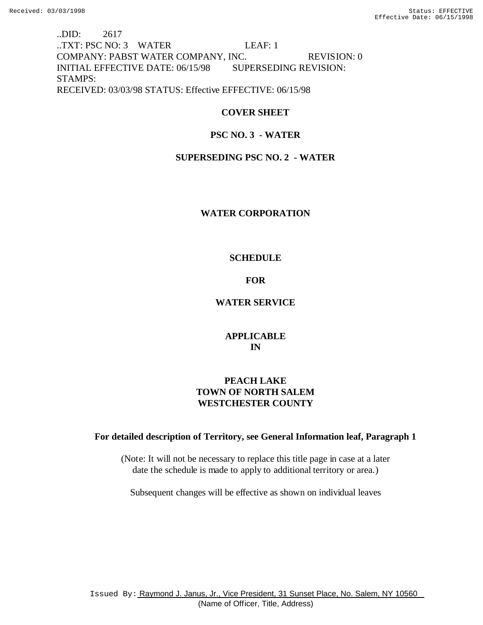..DID: 2617 ..TXT: PSC NO: 3 WATER LEAF: 1 COMPANY: PABST WATER COMPANY, INC. REVISION: 0 INITIAL EFFECTIVE DATE: 06/15/98 SUPERSEDING REVISION: STAMPS: RECEIVED: 03/03/98 STATUS: Effective EFFECTIVE: 06/15/98

## **COVER SHEET**

# **PSC NO. 3 - WATER**

# **SUPERSEDING PSC NO. 2 - WATER**

## **WATER CORPORATION**

## **SCHEDULE**

## **FOR**

# **WATER SERVICE**

# **APPLICABLE IN**

# **PEACH LAKE TOWN OF NORTH SALEM WESTCHESTER COUNTY**

## **For detailed description of Territory, see General Information leaf, Paragraph 1**

(Note: It will not be necessary to replace this title page in case at a later date the schedule is made to apply to additional territory or area.)

Subsequent changes will be effective as shown on individual leaves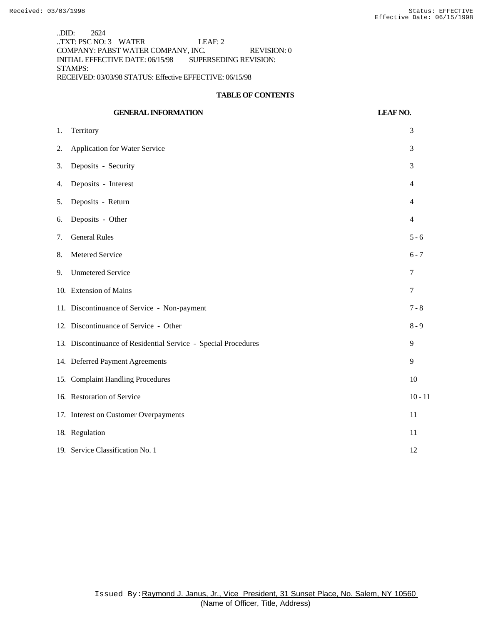..DID: 2624 ..TXT: PSC NO: 3 WATER LEAF: 2 COMPANY: PABST WATER COMPANY, INC. REVISION: 0 INITIAL EFFECTIVE DATE: 06/15/98 SUPERSEDING REVISION: STAMPS: RECEIVED: 03/03/98 STATUS: Effective EFFECTIVE: 06/15/98

#### **TABLE OF CONTENTS**

|    | <b>GENERAL INFORMATION</b>                                     | <b>LEAF NO.</b> |
|----|----------------------------------------------------------------|-----------------|
| 1. | Territory                                                      | 3               |
| 2. | Application for Water Service                                  | 3               |
| 3. | Deposits - Security                                            | 3               |
| 4. | Deposits - Interest                                            | $\overline{4}$  |
| 5. | Deposits - Return                                              | $\overline{4}$  |
| 6. | Deposits - Other                                               | $\overline{4}$  |
| 7. | <b>General Rules</b>                                           | $5 - 6$         |
| 8. | Metered Service                                                | $6 - 7$         |
| 9. | <b>Unmetered Service</b>                                       | 7               |
|    | 10. Extension of Mains                                         | $\tau$          |
|    | 11. Discontinuance of Service - Non-payment                    | $7 - 8$         |
|    | 12. Discontinuance of Service - Other                          | $8 - 9$         |
|    | 13. Discontinuance of Residential Service - Special Procedures | 9               |
|    | 14. Deferred Payment Agreements                                | 9               |
|    | 15. Complaint Handling Procedures                              | 10              |
|    | 16. Restoration of Service                                     | $10 - 11$       |
|    | 17. Interest on Customer Overpayments                          | 11              |
|    | 18. Regulation                                                 | 11              |
|    | 19. Service Classification No. 1                               | 12              |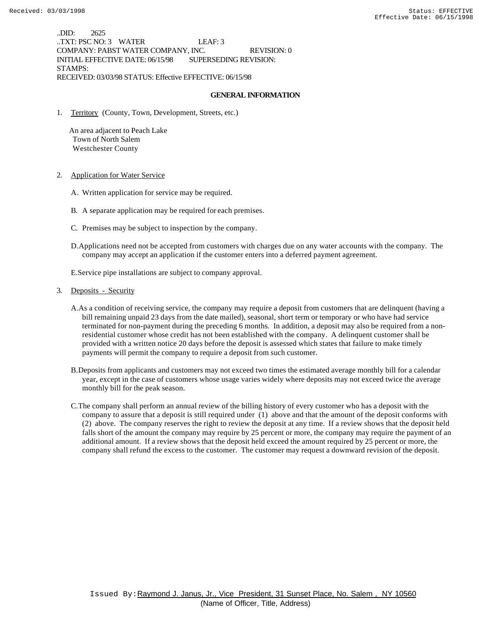..DID: 2625 ..TXT: PSC NO: 3 WATER LEAF: 3 COMPANY: PABST WATER COMPANY, INC. REVISION: 0 INITIAL EFFECTIVE DATE: 06/15/98 SUPERSEDING REVISION: STAMPS: RECEIVED: 03/03/98 STATUS: Effective EFFECTIVE: 06/15/98

### **GENERAL INFORMATION**

1. Territory (County, Town, Development, Streets, etc.)

 An area adjacent to Peach Lake Town of North Salem Westchester County

- 2. Application for Water Service
	- A. Written application for service may be required.
	- B. A separate application may be required for each premises.
	- C. Premises may be subject to inspection by the company.
	- D.Applications need not be accepted from customers with charges due on any water accounts with the company. The company may accept an application if the customer enters into a deferred payment agreement.

E.Service pipe installations are subject to company approval.

- 3. Deposits Security
	- A.As a condition of receiving service, the company may require a deposit from customers that are delinquent (having a bill remaining unpaid 23 days from the date mailed), seasonal, short term or temporary or who have had service terminated for non-payment during the preceding 6 months. In addition, a deposit may also be required from a nonresidential customer whose credit has not been established with the company. A delinquent customer shall be provided with a written notice 20 days before the deposit is assessed which states that failure to make timely payments will permit the company to require a deposit from such customer.
	- B.Deposits from applicants and customers may not exceed two times the estimated average monthly bill for a calendar year, except in the case of customers whose usage varies widely where deposits may not exceed twice the average monthly bill for the peak season.
	- C.The company shall perform an annual review of the billing history of every customer who has a deposit with the company to assure that a deposit is still required under (1) above and that the amount of the deposit conforms with (2) above. The company reserves the right to review the deposit at any time. If a review shows that the deposit held falls short of the amount the company may require by 25 percent or more, the company may require the payment of an additional amount. If a review shows that the deposit held exceed the amount required by 25 percent or more, the company shall refund the excess to the customer. The customer may request a downward revision of the deposit.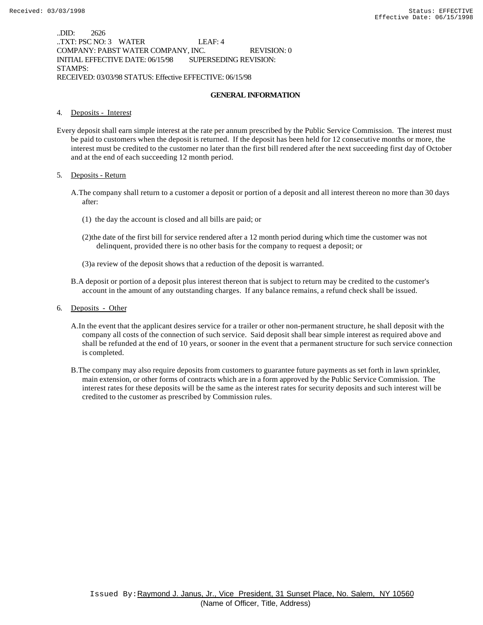..DID: 2626 ..TXT: PSC NO: 3 WATER LEAF: 4 COMPANY: PABST WATER COMPANY, INC. REVISION: 0 INITIAL EFFECTIVE DATE: 06/15/98 SUPERSEDING REVISION: STAMPS: RECEIVED: 03/03/98 STATUS: Effective EFFECTIVE: 06/15/98

#### **GENERAL INFORMATION**

#### 4. Deposits - Interest

Every deposit shall earn simple interest at the rate per annum prescribed by the Public Service Commission. The interest must be paid to customers when the deposit is returned. If the deposit has been held for 12 consecutive months or more, the interest must be credited to the customer no later than the first bill rendered after the next succeeding first day of October and at the end of each succeeding 12 month period.

#### 5. Deposits - Return

- A.The company shall return to a customer a deposit or portion of a deposit and all interest thereon no more than 30 days after:
	- (1) the day the account is closed and all bills are paid; or
	- (2)the date of the first bill for service rendered after a 12 month period during which time the customer was not delinquent, provided there is no other basis for the company to request a deposit; or
	- (3)a review of the deposit shows that a reduction of the deposit is warranted.
- B.A deposit or portion of a deposit plus interest thereon that is subject to return may be credited to the customer's account in the amount of any outstanding charges. If any balance remains, a refund check shall be issued.
- 6. Deposits Other
	- A.In the event that the applicant desires service for a trailer or other non-permanent structure, he shall deposit with the company all costs of the connection of such service. Said deposit shall bear simple interest as required above and shall be refunded at the end of 10 years, or sooner in the event that a permanent structure for such service connection is completed.
	- B.The company may also require deposits from customers to guarantee future payments as set forth in lawn sprinkler, main extension, or other forms of contracts which are in a form approved by the Public Service Commission. The interest rates for these deposits will be the same as the interest rates for security deposits and such interest will be credited to the customer as prescribed by Commission rules.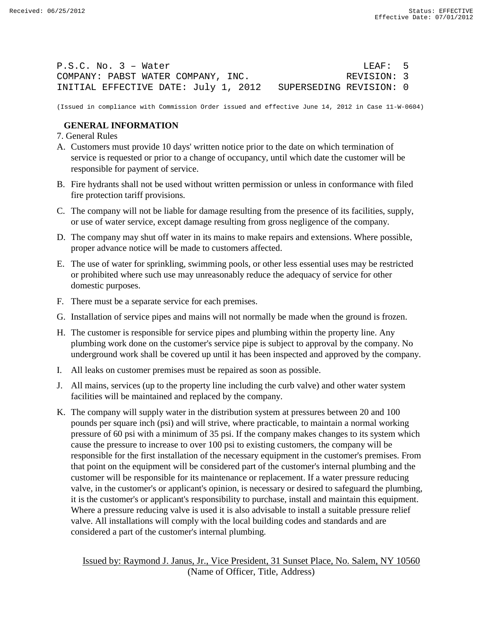P.S.C. No. 3 – Water LEAF: 5 COMPANY: PABST WATER COMPANY, INC. The revision: 3 INITIAL EFFECTIVE DATE: July 1, 2012 SUPERSEDING REVISION: 0

(Issued in compliance with Commission Order issued and effective June 14, 2012 in Case 11-W-0604)

# **GENERAL INFORMATION**

- 7. General Rules
- A. Customers must provide 10 days' written notice prior to the date on which termination of service is requested or prior to a change of occupancy, until which date the customer will be responsible for payment of service.
- B. Fire hydrants shall not be used without written permission or unless in conformance with filed fire protection tariff provisions.
- C. The company will not be liable for damage resulting from the presence of its facilities, supply, or use of water service, except damage resulting from gross negligence of the company.
- D. The company may shut off water in its mains to make repairs and extensions. Where possible, proper advance notice will be made to customers affected.
- E. The use of water for sprinkling, swimming pools, or other less essential uses may be restricted or prohibited where such use may unreasonably reduce the adequacy of service for other domestic purposes.
- F. There must be a separate service for each premises.
- G. Installation of service pipes and mains will not normally be made when the ground is frozen.
- H. The customer is responsible for service pipes and plumbing within the property line. Any plumbing work done on the customer's service pipe is subject to approval by the company. No underground work shall be covered up until it has been inspected and approved by the company.
- I. All leaks on customer premises must be repaired as soon as possible.
- J. All mains, services (up to the property line including the curb valve) and other water system facilities will be maintained and replaced by the company.
- K. The company will supply water in the distribution system at pressures between 20 and 100 pounds per square inch (psi) and will strive, where practicable, to maintain a normal working pressure of 60 psi with a minimum of 35 psi. If the company makes changes to its system which cause the pressure to increase to over 100 psi to existing customers, the company will be responsible for the first installation of the necessary equipment in the customer's premises. From that point on the equipment will be considered part of the customer's internal plumbing and the customer will be responsible for its maintenance or replacement. If a water pressure reducing valve, in the customer's or applicant's opinion, is necessary or desired to safeguard the plumbing, it is the customer's or applicant's responsibility to purchase, install and maintain this equipment. Where a pressure reducing valve is used it is also advisable to install a suitable pressure relief valve. All installations will comply with the local building codes and standards and are considered a part of the customer's internal plumbing.

(Name of Officer, Title, Address) Issued by: Raymond J. Janus, Jr., Vice President, 31 Sunset Place, No. Salem, NY 10560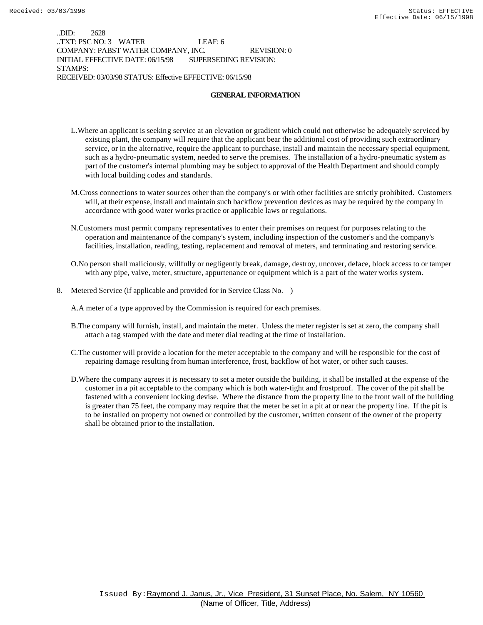..DID: 2628 ..TXT: PSC NO: 3 WATER LEAF: 6 COMPANY: PABST WATER COMPANY, INC. REVISION: 0 INITIAL EFFECTIVE DATE: 06/15/98 SUPERSEDING REVISION: STAMPS: RECEIVED: 03/03/98 STATUS: Effective EFFECTIVE: 06/15/98

### **GENERAL INFORMATION**

- L.Where an applicant is seeking service at an elevation or gradient which could not otherwise be adequately serviced by existing plant, the company will require that the applicant bear the additional cost of providing such extraordinary service, or in the alternative, require the applicant to purchase, install and maintain the necessary special equipment, such as a hydro-pneumatic system, needed to serve the premises. The installation of a hydro-pneumatic system as part of the customer's internal plumbing may be subject to approval of the Health Department and should comply with local building codes and standards.
- M.Cross connections to water sources other than the company's or with other facilities are strictly prohibited. Customers will, at their expense, install and maintain such backflow prevention devices as may be required by the company in accordance with good water works practice or applicable laws or regulations.
- N.Customers must permit company representatives to enter their premises on request for purposes relating to the operation and maintenance of the company's system, including inspection of the customer's and the company's facilities, installation, reading, testing, replacement and removal of meters, and terminating and restoring service.
- O.No person shall maliciously, willfully or negligently break, damage, destroy, uncover, deface, block access to or tamper with any pipe, valve, meter, structure, appurtenance or equipment which is a part of the water works system.
- 8. Metered Service (if applicable and provided for in Service Class No. )

A.A meter of a type approved by the Commission is required for each premises.

- B.The company will furnish, install, and maintain the meter. Unless the meter register is set at zero, the company shall attach a tag stamped with the date and meter dial reading at the time of installation.
- C.The customer will provide a location for the meter acceptable to the company and will be responsible for the cost of repairing damage resulting from human interference, frost, backflow of hot water, or other such causes.
- D.Where the company agrees it is necessary to set a meter outside the building, it shall be installed at the expense of the customer in a pit acceptable to the company which is both water-tight and frostproof. The cover of the pit shall be fastened with a convenient locking devise. Where the distance from the property line to the front wall of the building is greater than 75 feet, the company may require that the meter be set in a pit at or near the property line. If the pit is to be installed on property not owned or controlled by the customer, written consent of the owner of the property shall be obtained prior to the installation.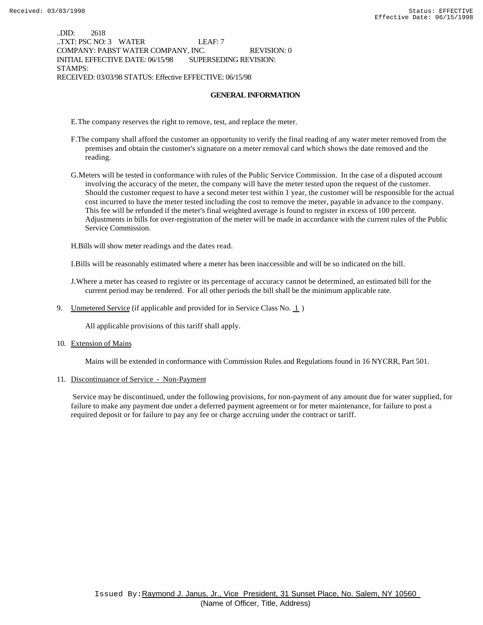..DID: 2618 ..TXT: PSC NO: 3 WATER LEAF: 7 COMPANY: PABST WATER COMPANY, INC. REVISION: 0 INITIAL EFFECTIVE DATE: 06/15/98 SUPERSEDING REVISION: STAMPS: RECEIVED: 03/03/98 STATUS: Effective EFFECTIVE: 06/15/98

### **GENERAL INFORMATION**

E.The company reserves the right to remove, test, and replace the meter.

- F.The company shall afford the customer an opportunity to verify the final reading of any water meter removed from the premises and obtain the customer's signature on a meter removal card which shows the date removed and the reading.
- G.Meters will be tested in conformance with rules of the Public Service Commission. In the case of a disputed account involving the accuracy of the meter, the company will have the meter tested upon the request of the customer. Should the customer request to have a second meter test within 1 year, the customer will be responsible for the actual cost incurred to have the meter tested including the cost to remove the meter, payable in advance to the company. This fee will be refunded if the meter's final weighted average is found to register in excess of 100 percent. Adjustments in bills for over-registration of the meter will be made in accordance with the current rules of the Public Service Commission.

H.Bills will show meter readings and the dates read.

I.Bills will be reasonably estimated where a meter has been inaccessible and will be so indicated on the bill.

- J.Where a meter has ceased to register or its percentage of accuracy cannot be determined, an estimated bill for the current period may be rendered. For all other periods the bill shall be the minimum applicable rate.
- 9. Unmetered Service (if applicable and provided for in Service Class No.  $1$ )

All applicable provisions of this tariff shall apply.

10. Extension of Mains

Mains will be extended in conformance with Commission Rules and Regulations found in 16 NYCRR, Part 501.

11. Discontinuance of Service - Non-Payment

 Service may be discontinued, under the following provisions, for non-payment of any amount due for water supplied, for failure to make any payment due under a deferred payment agreement or for meter maintenance, for failure to post a required deposit or for failure to pay any fee or charge accruing under the contract or tariff.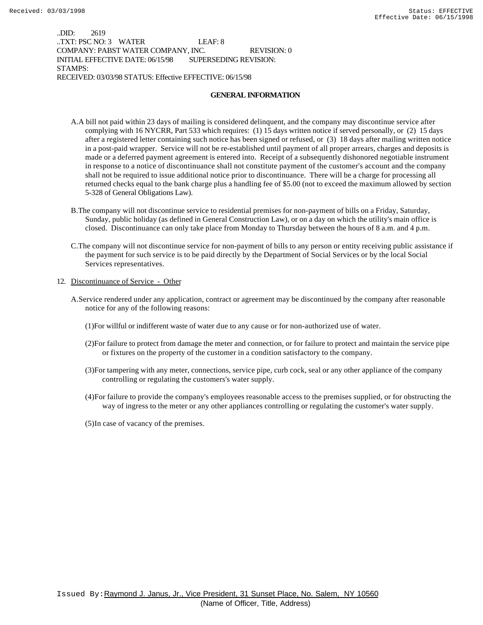..DID: 2619 ..TXT: PSC NO: 3 WATER LEAF: 8 COMPANY: PABST WATER COMPANY, INC. REVISION: 0 INITIAL EFFECTIVE DATE: 06/15/98 SUPERSEDING REVISION: STAMPS: RECEIVED: 03/03/98 STATUS: Effective EFFECTIVE: 06/15/98

### **GENERAL INFORMATION**

- A.A bill not paid within 23 days of mailing is considered delinquent, and the company may discontinue service after complying with 16 NYCRR, Part 533 which requires: (1) 15 days written notice if served personally, or (2) 15 days after a registered letter containing such notice has been signed or refused, or (3) 18 days after mailing written notice in a post-paid wrapper. Service will not be re-established until payment of all proper arrears, charges and deposits is made or a deferred payment agreement is entered into. Receipt of a subsequently dishonored negotiable instrument in response to a notice of discontinuance shall not constitute payment of the customer's account and the company shall not be required to issue additional notice prior to discontinuance. There will be a charge for processing all returned checks equal to the bank charge plus a handling fee of \$5.00 (not to exceed the maximum allowed by section 5-328 of General Obligations Law).
- B.The company will not discontinue service to residential premises for non-payment of bills on a Friday, Saturday, Sunday, public holiday (as defined in General Construction Law), or on a day on which the utility's main office is closed. Discontinuance can only take place from Monday to Thursday between the hours of 8 a.m. and 4 p.m.
- C.The company will not discontinue service for non-payment of bills to any person or entity receiving public assistance if the payment for such service is to be paid directly by the Department of Social Services or by the local Social Services representatives.

#### 12. Discontinuance of Service - Other

- A.Service rendered under any application, contract or agreement may be discontinued by the company after reasonable notice for any of the following reasons:
	- (1)For willful or indifferent waste of water due to any cause or for non-authorized use of water.
	- (2)For failure to protect from damage the meter and connection, or for failure to protect and maintain the service pipe or fixtures on the property of the customer in a condition satisfactory to the company.
	- (3)For tampering with any meter, connections, service pipe, curb cock, seal or any other appliance of the company controlling or regulating the customers's water supply.
	- (4)For failure to provide the company's employees reasonable access to the premises supplied, or for obstructing the way of ingress to the meter or any other appliances controlling or regulating the customer's water supply.
	- (5)In case of vacancy of the premises.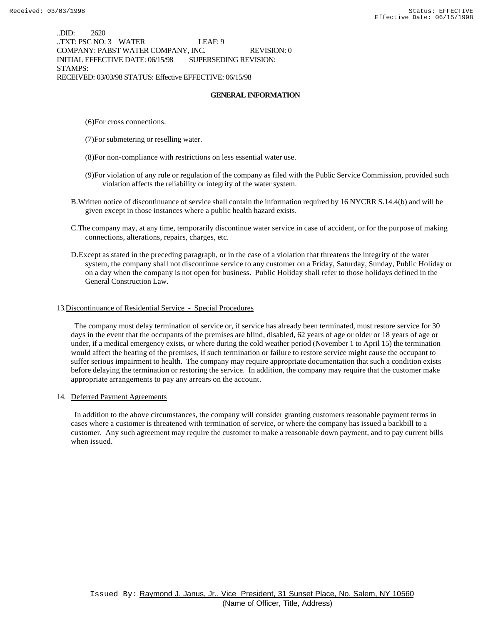..DID: 2620 ..TXT: PSC NO: 3 WATER LEAF: 9 COMPANY: PABST WATER COMPANY, INC. REVISION: 0 INITIAL EFFECTIVE DATE: 06/15/98 SUPERSEDING REVISION: STAMPS: RECEIVED: 03/03/98 STATUS: Effective EFFECTIVE: 06/15/98

### **GENERAL INFORMATION**

- (6)For cross connections.
- (7)For submetering or reselling water.
- (8)For non-compliance with restrictions on less essential water use.
- (9)For violation of any rule or regulation of the company as filed with the Public Service Commission, provided such violation affects the reliability or integrity of the water system.
- B.Written notice of discontinuance of service shall contain the information required by 16 NYCRR S.14.4(b) and will be given except in those instances where a public health hazard exists.
- C.The company may, at any time, temporarily discontinue water service in case of accident, or for the purpose of making connections, alterations, repairs, charges, etc.
- D.Except as stated in the preceding paragraph, or in the case of a violation that threatens the integrity of the water system, the company shall not discontinue service to any customer on a Friday, Saturday, Sunday, Public Holiday or on a day when the company is not open for business. Public Holiday shall refer to those holidays defined in the General Construction Law.

### 13.Discontinuance of Residential Service - Special Procedures

 The company must delay termination of service or, if service has already been terminated, must restore service for 30 days in the event that the occupants of the premises are blind, disabled, 62 years of age or older or 18 years of age or under, if a medical emergency exists, or where during the cold weather period (November 1 to April 15) the termination would affect the heating of the premises, if such termination or failure to restore service might cause the occupant to suffer serious impairment to health. The company may require appropriate documentation that such a condition exists before delaying the termination or restoring the service. In addition, the company may require that the customer make appropriate arrangements to pay any arrears on the account.

14. Deferred Payment Agreements

 In addition to the above circumstances, the company will consider granting customers reasonable payment terms in cases where a customer is threatened with termination of service, or where the company has issued a backbill to a customer. Any such agreement may require the customer to make a reasonable down payment, and to pay current bills when issued.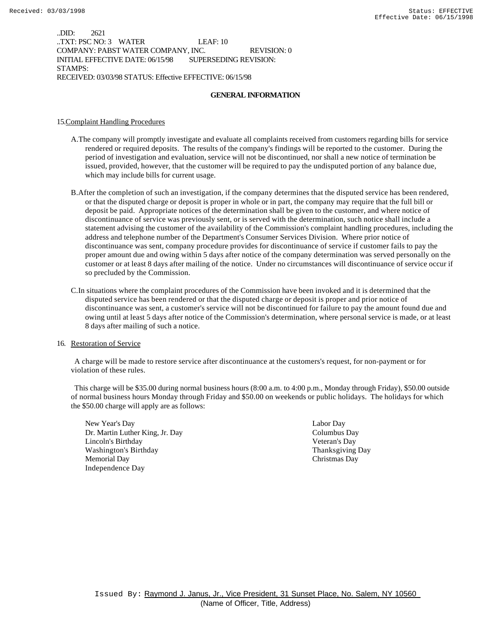..DID: 2621 ..TXT: PSC NO: 3 WATER LEAF: 10 COMPANY: PABST WATER COMPANY, INC. REVISION: 0 INITIAL EFFECTIVE DATE: 06/15/98 SUPERSEDING REVISION: STAMPS: RECEIVED: 03/03/98 STATUS: Effective EFFECTIVE: 06/15/98

### **GENERAL INFORMATION**

### 15.Complaint Handling Procedures

- A.The company will promptly investigate and evaluate all complaints received from customers regarding bills for service rendered or required deposits. The results of the company's findings will be reported to the customer. During the period of investigation and evaluation, service will not be discontinued, nor shall a new notice of termination be issued, provided, however, that the customer will be required to pay the undisputed portion of any balance due, which may include bills for current usage.
- B.After the completion of such an investigation, if the company determines that the disputed service has been rendered, or that the disputed charge or deposit is proper in whole or in part, the company may require that the full bill or deposit be paid. Appropriate notices of the determination shall be given to the customer, and where notice of discontinuance of service was previously sent, or is served with the determination, such notice shall include a statement advising the customer of the availability of the Commission's complaint handling procedures, including the address and telephone number of the Department's Consumer Services Division. Where prior notice of discontinuance was sent, company procedure provides for discontinuance of service if customer fails to pay the proper amount due and owing within 5 days after notice of the company determination was served personally on the customer or at least 8 days after mailing of the notice. Under no circumstances will discontinuance of service occur if so precluded by the Commission.
- C.In situations where the complaint procedures of the Commission have been invoked and it is determined that the disputed service has been rendered or that the disputed charge or deposit is proper and prior notice of discontinuance was sent, a customer's service will not be discontinued for failure to pay the amount found due and owing until at least 5 days after notice of the Commission's determination, where personal service is made, or at least 8 days after mailing of such a notice.

### 16. Restoration of Service

 A charge will be made to restore service after discontinuance at the customers's request, for non-payment or for violation of these rules.

 This charge will be \$35.00 during normal business hours (8:00 a.m. to 4:00 p.m., Monday through Friday), \$50.00 outside of normal business hours Monday through Friday and \$50.00 on weekends or public holidays. The holidays for which the \$50.00 charge will apply are as follows:

New Year's Day Labor Day Dr. Martin Luther King, Jr. Day Columbus Day Lincoln's Birthday Veteran's Day Washington's Birthday **Thanksgiving Day** Thanksgiving Day Memorial Day Christmas Day Independence Day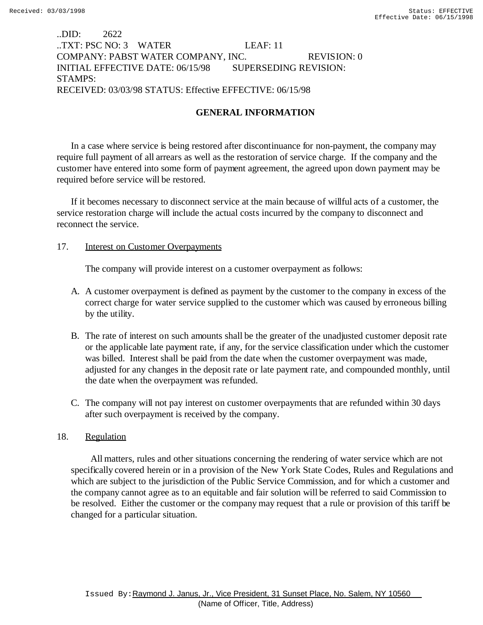# ..DID: 2622 ..TXT: PSC NO: 3 WATER LEAF: 11 COMPANY: PABST WATER COMPANY, INC. REVISION: 0 INITIAL EFFECTIVE DATE: 06/15/98 SUPERSEDING REVISION: STAMPS: RECEIVED: 03/03/98 STATUS: Effective EFFECTIVE: 06/15/98

# **GENERAL INFORMATION**

In a case where service is being restored after discontinuance for non-payment, the company may require full payment of all arrears as well as the restoration of service charge. If the company and the customer have entered into some form of payment agreement, the agreed upon down payment may be required before service will be restored.

If it becomes necessary to disconnect service at the main because of willful acts of a customer, the service restoration charge will include the actual costs incurred by the company to disconnect and reconnect the service.

# 17. Interest on Customer Overpayments

The company will provide interest on a customer overpayment as follows:

- A. A customer overpayment is defined as payment by the customer to the company in excess of the correct charge for water service supplied to the customer which was caused by erroneous billing by the utility.
- B. The rate of interest on such amounts shall be the greater of the unadjusted customer deposit rate or the applicable late payment rate, if any, for the service classification under which the customer was billed. Interest shall be paid from the date when the customer overpayment was made, adjusted for any changes in the deposit rate or late payment rate, and compounded monthly, until the date when the overpayment was refunded.
- C. The company will not pay interest on customer overpayments that are refunded within 30 days after such overpayment is received by the company.

# 18. Regulation

 All matters, rules and other situations concerning the rendering of water service which are not specifically covered herein or in a provision of the New York State Codes, Rules and Regulations and which are subject to the jurisdiction of the Public Service Commission, and for which a customer and the company cannot agree as to an equitable and fair solution will be referred to said Commission to be resolved. Either the customer or the company may request that a rule or provision of this tariff be changed for a particular situation.